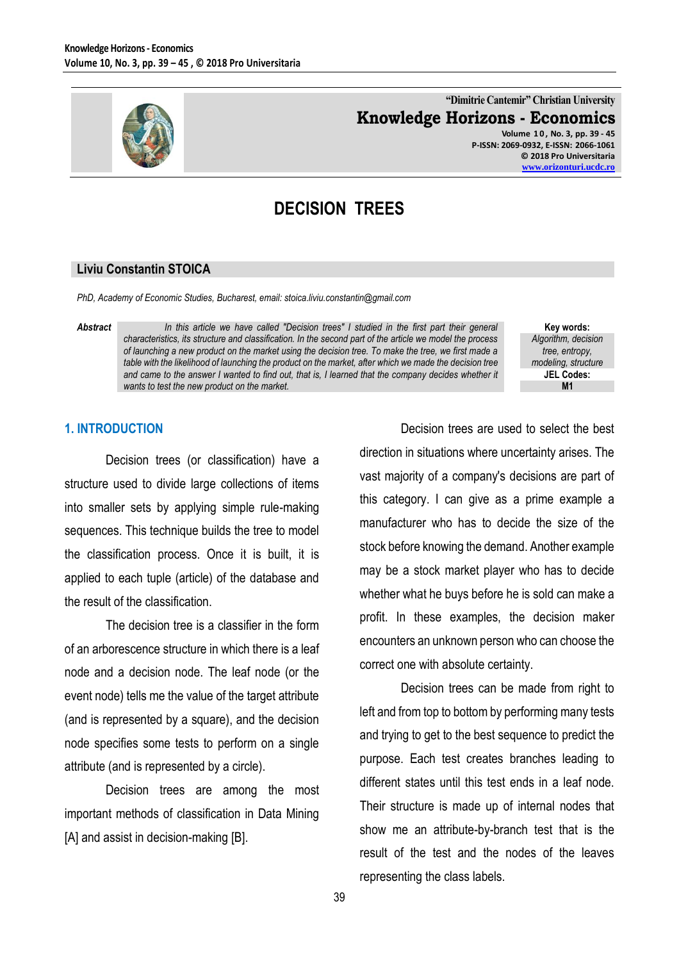

## **"Dimitrie Cantemir" Christian University Knowledge Horizons - Economics**

**Volume 1 0 , No. 3, pp. 39 - 45 P-ISSN: 2069-0932, E-ISSN: 2066-1061 © 2018 Pro Universitaria [www.orizonturi.ucdc.ro](http://www.orizonturi.ucdc.ro/)**

# **DECISION TREES**

#### **Liviu Constantin STOICA**

*PhD, Academy of Economic Studies, Bucharest, email: stoica.liviu.constantin@gmail.com*

*Abstract In this article we have called "Decision trees" I studied in the first part their general characteristics, its structure and classification. In the second part of the article we model the process of launching a new product on the market using the decision tree. To make the tree, we first made a table with the likelihood of launching the product on the market, after which we made the decision tree and came to the answer I wanted to find out, that is, I learned that the company decides whether it wants to test the new product on the market.*

**Key words:** *Algorithm, decision tree, entropy, modeling, structure* **JEL Codes: M1**

#### **1. INTRODUCTION**

Decision trees (or classification) have a structure used to divide large collections of items into smaller sets by applying simple rule-making sequences. This technique builds the tree to model the classification process. Once it is built, it is applied to each tuple (article) of the database and the result of the classification.

The decision tree is a classifier in the form of an arborescence structure in which there is a leaf node and a decision node. The leaf node (or the event node) tells me the value of the target attribute (and is represented by a square), and the decision node specifies some tests to perform on a single attribute (and is represented by a circle).

Decision trees are among the most important methods of classification in Data Mining [A] and assist in decision-making [B].

Decision trees are used to select the best direction in situations where uncertainty arises. The vast majority of a company's decisions are part of this category. I can give as a prime example a manufacturer who has to decide the size of the stock before knowing the demand. Another example may be a stock market player who has to decide whether what he buys before he is sold can make a profit. In these examples, the decision maker encounters an unknown person who can choose the correct one with absolute certainty.

Decision trees can be made from right to left and from top to bottom by performing many tests and trying to get to the best sequence to predict the purpose. Each test creates branches leading to different states until this test ends in a leaf node. Their structure is made up of internal nodes that show me an attribute-by-branch test that is the result of the test and the nodes of the leaves representing the class labels.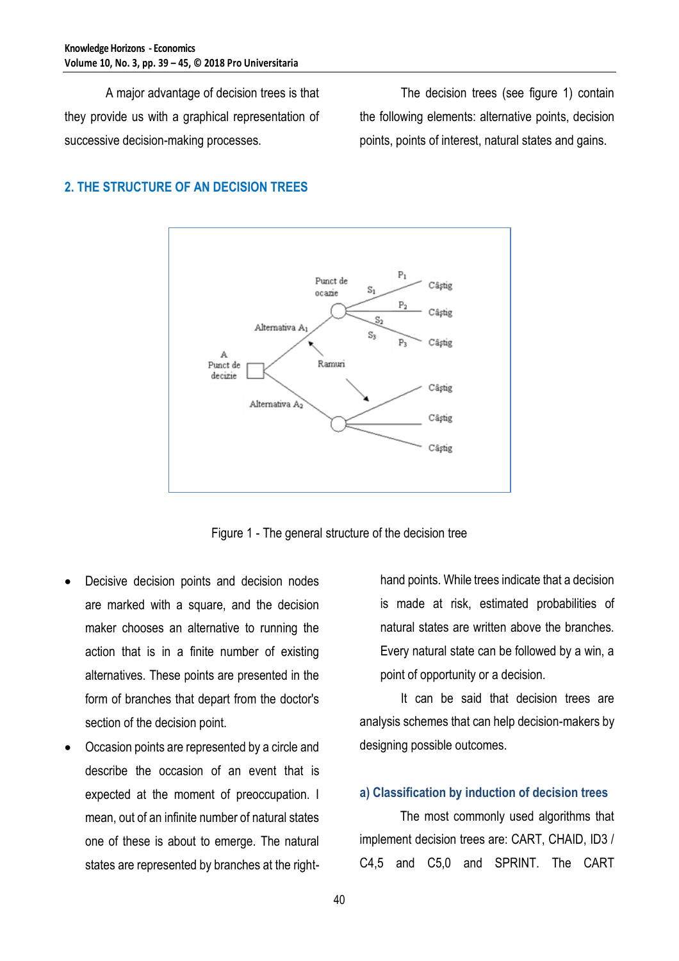A major advantage of decision trees is that they provide us with a graphical representation of successive decision-making processes.

The decision trees (see figure 1) contain the following elements: alternative points, decision points, points of interest, natural states and gains.

### **2. THE STRUCTURE OF AN DECISION TREES**



Figure 1 - The general structure of the decision tree

- Decisive decision points and decision nodes are marked with a square, and the decision maker chooses an alternative to running the action that is in a finite number of existing alternatives. These points are presented in the form of branches that depart from the doctor's section of the decision point.
- Occasion points are represented by a circle and describe the occasion of an event that is expected at the moment of preoccupation. I mean, out of an infinite number of natural states one of these is about to emerge. The natural states are represented by branches at the right-

hand points. While trees indicate that a decision is made at risk, estimated probabilities of natural states are written above the branches. Every natural state can be followed by a win, a point of opportunity or a decision.

It can be said that decision trees are analysis schemes that can help decision-makers by designing possible outcomes.

### **a) Classification by induction of decision trees**

The most commonly used algorithms that implement decision trees are: CART, CHAID, ID3 / C4,5 and C5,0 and SPRINT. The CART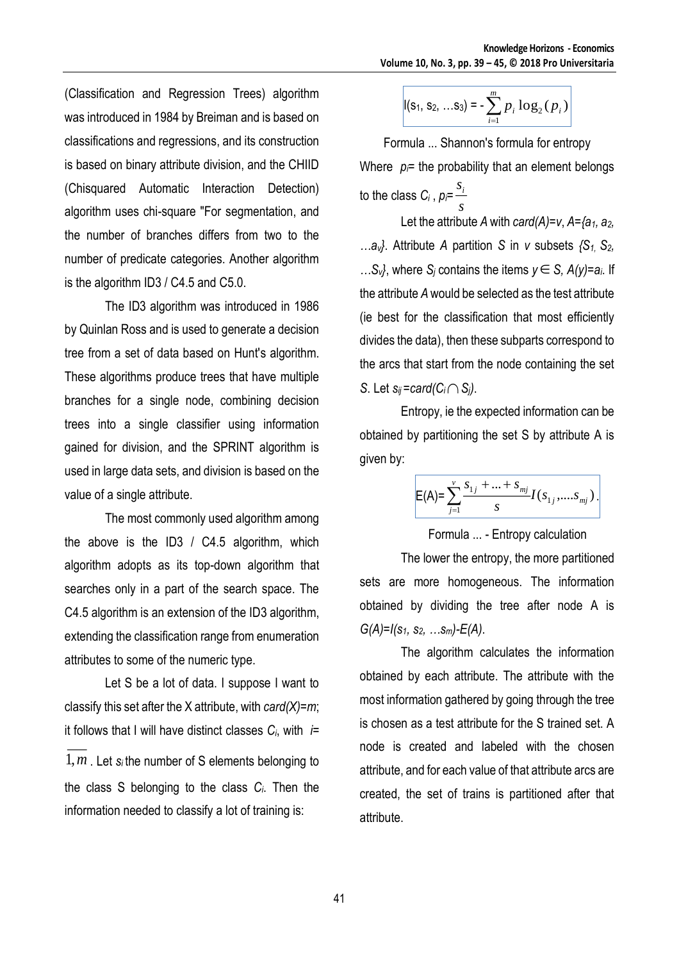(Classification and Regression Trees) algorithm was introduced in 1984 by Breiman and is based on classifications and regressions, and its construction is based on binary attribute division, and the CHIID (Chisquared Automatic Interaction Detection) algorithm uses chi-square "For segmentation, and the number of branches differs from two to the number of predicate categories. Another algorithm is the algorithm ID3 / C4.5 and C5.0.

The ID3 algorithm was introduced in 1986 by Quinlan Ross and is used to generate a decision tree from a set of data based on Hunt's algorithm. These algorithms produce trees that have multiple branches for a single node, combining decision trees into a single classifier using information gained for division, and the SPRINT algorithm is used in large data sets, and division is based on the value of a single attribute.

The most commonly used algorithm among the above is the ID3 / C4.5 algorithm, which algorithm adopts as its top-down algorithm that searches only in a part of the search space. The C4.5 algorithm is an extension of the ID3 algorithm, extending the classification range from enumeration attributes to some of the numeric type.

Let S be a lot of data. I suppose I want to classify this set after the X attribute, with *card(X)=m*; it follows that I will have distinct classes *Ci*, with *i=*

1,*<sup>m</sup>* . Let *si* the number of S elements belonging to the class S belonging to the class *Ci*. Then the information needed to classify a lot of training is:

$$
|(s_1, s_2, ... s_3) = -\sum_{i=1}^{m} p_i \log_2(p_i)|
$$

Formula ... Shannon's formula for entropy Where  $p_i$ = the probability that an element belongs to the class  $C_i$  ,  $\rho_i\!\!=\!\frac{S_i}{\tau}$ *s*

Let the attribute *A* with *card(A)=v*, *A={a1, a2, …av}*. Attribute *A* partition *S* in *v* subsets *{S1, S2,*  …S<sub>*v*</sub><sup>}</sup>, where S<sub>*j*</sub> contains the items *y* ∈ S,  $A(y) = a_i$ . If the attribute *A* would be selected as the test attribute (ie best for the classification that most efficiently divides the data), then these subparts correspond to the arcs that start from the node containing the set *S*. Let  $s_{ij}$ =card( $C_i \cap S_j$ ).

Entropy, ie the expected information can be obtained by partitioning the set S by attribute A is given by:

$$
\mathsf{E}(\mathsf{A}) = \sum_{j=1}^v \frac{s_{1j} + \ldots + s_{mj}}{s} I(s_{1j}, \ldots, s_{mj}).
$$

Formula ... - Entropy calculation

The lower the entropy, the more partitioned sets are more homogeneous. The information obtained by dividing the tree after node A is *G(A)=I(s1, s2, …sm)-E(A)*.

The algorithm calculates the information obtained by each attribute. The attribute with the most information gathered by going through the tree is chosen as a test attribute for the S trained set. A node is created and labeled with the chosen attribute, and for each value of that attribute arcs are created, the set of trains is partitioned after that attribute.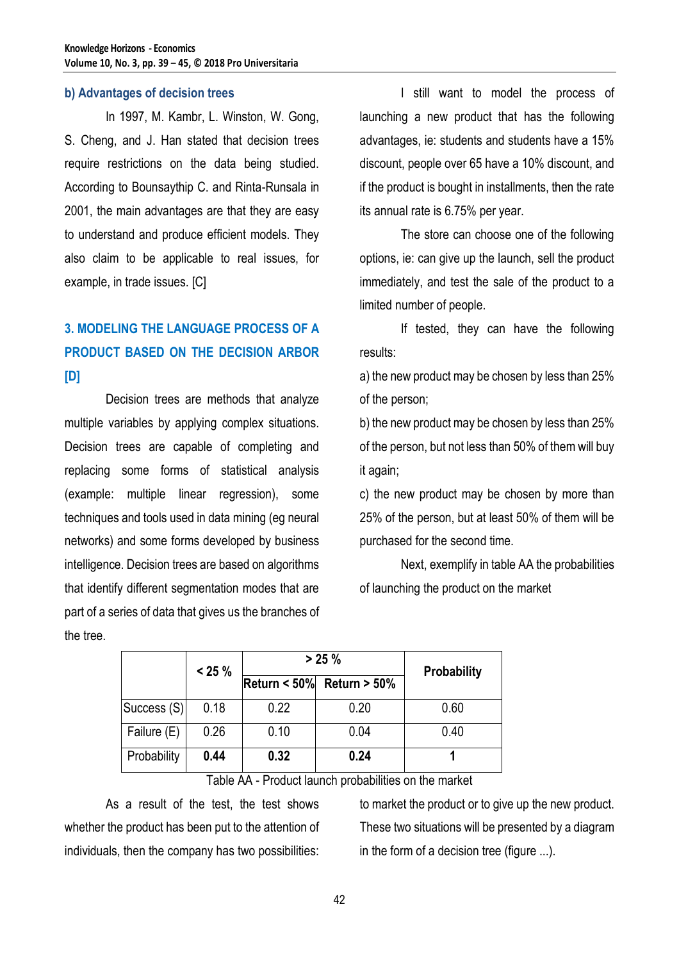#### **b) Advantages of decision trees**

In 1997, M. Kambr, L. Winston, W. Gong, S. Cheng, and J. Han stated that decision trees require restrictions on the data being studied. According to Bounsaythip C. and Rinta-Runsala in 2001, the main advantages are that they are easy to understand and produce efficient models. They also claim to be applicable to real issues, for example, in trade issues. [C]

# **3. MODELING THE LANGUAGE PROCESS OF A PRODUCT BASED ON THE DECISION ARBOR [D]**

Decision trees are methods that analyze multiple variables by applying complex situations. Decision trees are capable of completing and replacing some forms of statistical analysis (example: multiple linear regression), some techniques and tools used in data mining (eg neural networks) and some forms developed by business intelligence. Decision trees are based on algorithms that identify different segmentation modes that are part of a series of data that gives us the branches of the tree.

I still want to model the process of launching a new product that has the following advantages, ie: students and students have a 15% discount, people over 65 have a 10% discount, and if the product is bought in installments, then the rate its annual rate is 6.75% per year.

The store can choose one of the following options, ie: can give up the launch, sell the product immediately, and test the sale of the product to a limited number of people.

If tested, they can have the following results:

a) the new product may be chosen by less than 25% of the person;

b) the new product may be chosen by less than 25% of the person, but not less than 50% of them will buy it again;

c) the new product may be chosen by more than 25% of the person, but at least 50% of them will be purchased for the second time.

Next, exemplify in table AA the probabilities of launching the product on the market

|             | $< 25 \%$ | $> 25 \%$ |                                 | Probability |
|-------------|-----------|-----------|---------------------------------|-------------|
|             |           |           | Return < $50\%$ Return > $50\%$ |             |
| Success (S) | 0.18      | 0.22      | 0.20                            | 0.60        |
| Failure (E) | 0.26      | 0.10      | 0.04                            | 0.40        |
| Probability | 0.44      | 0.32      | 0.24                            |             |

Table AA - Product launch probabilities on the market

As a result of the test, the test shows whether the product has been put to the attention of individuals, then the company has two possibilities:

to market the product or to give up the new product. These two situations will be presented by a diagram in the form of a decision tree (figure ...).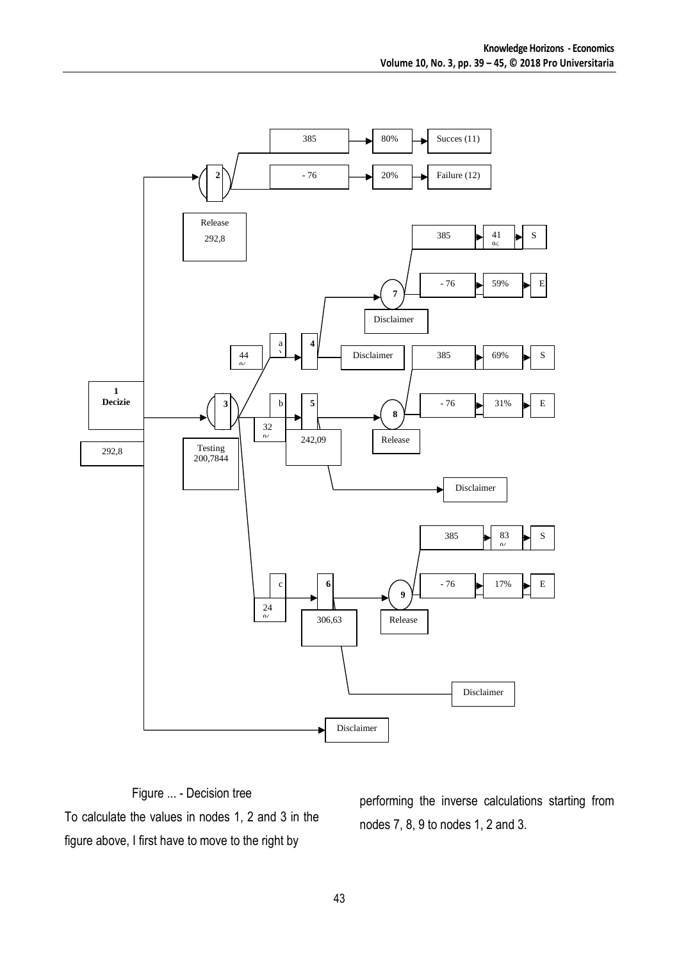

Figure ... - Decision tree To calculate the values in nodes 1, 2 and 3 in the figure above, I first have to move to the right by

performing the inverse calculations starting from nodes 7, 8, 9 to nodes 1, 2 and 3.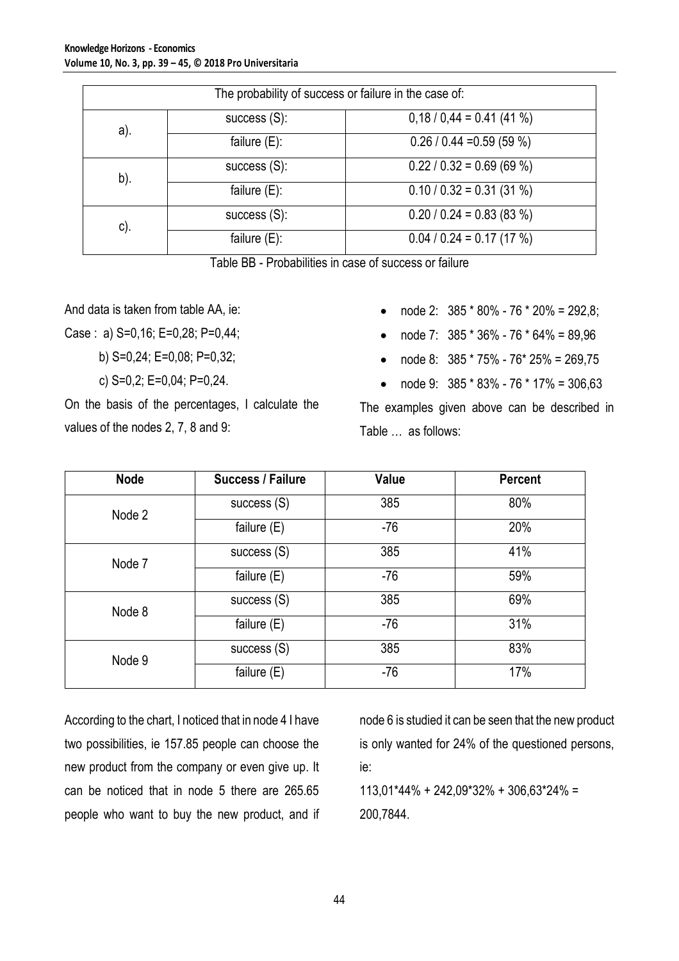| The probability of success or failure in the case of: |                 |                             |  |  |  |  |
|-------------------------------------------------------|-----------------|-----------------------------|--|--|--|--|
| a).                                                   | success $(S)$ : | $0,18/0,44 = 0.41(41%)$     |  |  |  |  |
|                                                       | failure $(E)$ : | $0.26 / 0.44 = 0.59 (59%)$  |  |  |  |  |
| b).                                                   | success $(S)$ : | $0.22 / 0.32 = 0.69 (69%)$  |  |  |  |  |
|                                                       | failure $(E)$ : | $0.10 / 0.32 = 0.31 (31 %)$ |  |  |  |  |
| $c$ ).                                                | success $(S)$ : | $0.20 / 0.24 = 0.83 (83%)$  |  |  |  |  |
|                                                       | failure $(E)$ : | $0.04 / 0.24 = 0.17 (17%)$  |  |  |  |  |

|--|

And data is taken from table AA, ie:

Case : a) S=0,16; E=0,28; P=0,44;

b) S=0,24; E=0,08; P=0,32;

c) S=0,2; E=0,04; P=0,24.

On the basis of the percentages, I calculate the values of the nodes 2, 7, 8 and 9:

- node 2:  $385 * 80\% 76 * 20\% = 292.8$ ;
- node 7: 385 \* 36% 76 \* 64% = 89,96
- node 8: 385 \* 75% 76\* 25% = 269,75
- node 9:  $385 * 83\% 76 * 17\% = 306.63$

The examples given above can be described in Table … as follows:

| <b>Node</b> | Success / Failure | Value | <b>Percent</b> |
|-------------|-------------------|-------|----------------|
| Node 2      | success $(S)$     | 385   | 80%            |
|             | failure $(E)$     | $-76$ | 20%            |
| Node 7      | success $(S)$     | 385   | 41%            |
|             | failure $(E)$     | $-76$ | 59%            |
| Node 8      | success $(S)$     | 385   | 69%            |
|             | failure $(E)$     | $-76$ | 31%            |
| Node 9      | success $(S)$     | 385   | 83%            |
|             | failure $(E)$     | $-76$ | 17%            |

According to the chart, I noticed that in node 4 I have two possibilities, ie 157.85 people can choose the new product from the company or even give up. It can be noticed that in node 5 there are 265.65 people who want to buy the new product, and if node 6 is studied it can be seen that the new product is only wanted for 24% of the questioned persons, ie:

113,01\*44% + 242,09\*32% + 306,63\*24% = 200,7844.